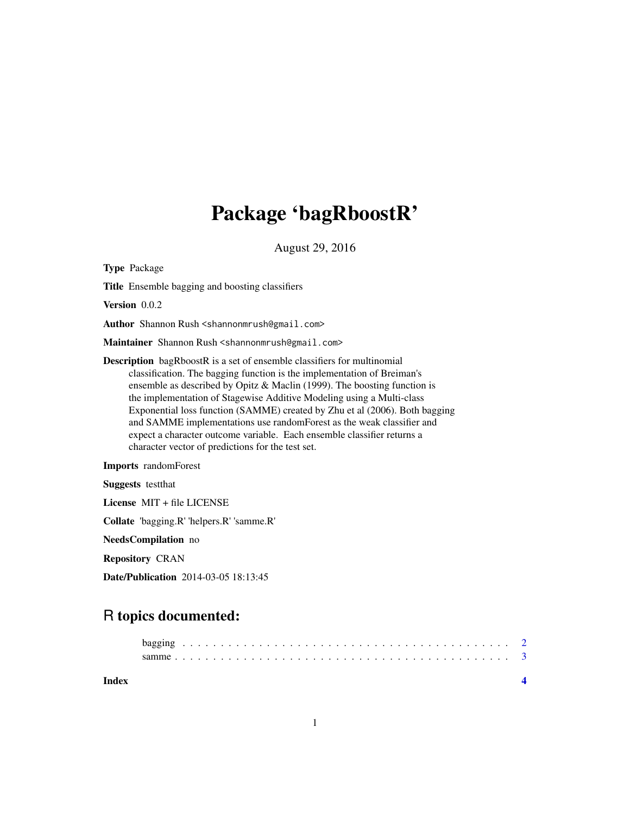## Package 'bagRboostR'

August 29, 2016

<span id="page-0-0"></span>Type Package Title Ensemble bagging and boosting classifiers Version 0.0.2 Author Shannon Rush <shannonmrush@gmail.com> Maintainer Shannon Rush <shannonmrush@gmail.com> Description bagRboostR is a set of ensemble classifiers for multinomial classification. The bagging function is the implementation of Breiman's ensemble as described by Opitz & Maclin (1999). The boosting function is the implementation of Stagewise Additive Modeling using a Multi-class Exponential loss function (SAMME) created by Zhu et al (2006). Both bagging and SAMME implementations use randomForest as the weak classifier and expect a character outcome variable. Each ensemble classifier returns a character vector of predictions for the test set. Imports randomForest Suggests testthat License MIT + file LICENSE Collate 'bagging.R' 'helpers.R' 'samme.R'

NeedsCompilation no

Repository CRAN

Date/Publication 2014-03-05 18:13:45

### R topics documented:

| Index |  |  |  |  |  |  |  |  |  |  |  |  |  |  |  |  |  |  |  |
|-------|--|--|--|--|--|--|--|--|--|--|--|--|--|--|--|--|--|--|--|
|       |  |  |  |  |  |  |  |  |  |  |  |  |  |  |  |  |  |  |  |
|       |  |  |  |  |  |  |  |  |  |  |  |  |  |  |  |  |  |  |  |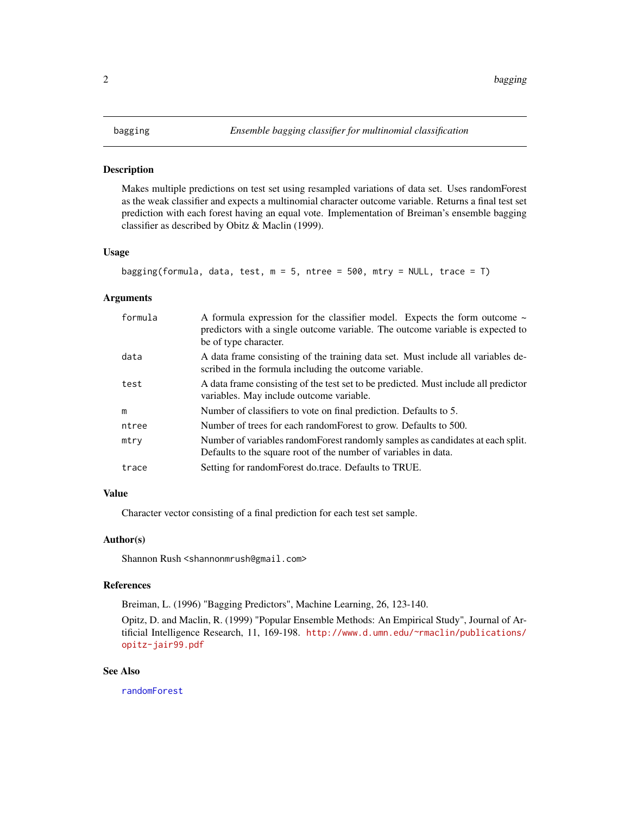#### <span id="page-1-0"></span>Description

Makes multiple predictions on test set using resampled variations of data set. Uses randomForest as the weak classifier and expects a multinomial character outcome variable. Returns a final test set prediction with each forest having an equal vote. Implementation of Breiman's ensemble bagging classifier as described by Obitz & Maclin (1999).

#### Usage

```
bagging(formula, data, test, m = 5, ntree = 500, mtry = NULL, trace = T)
```
#### **Arguments**

| formula | A formula expression for the classifier model. Expects the form outcome $\sim$<br>predictors with a single outcome variable. The outcome variable is expected to<br>be of type character. |
|---------|-------------------------------------------------------------------------------------------------------------------------------------------------------------------------------------------|
| data    | A data frame consisting of the training data set. Must include all variables de-<br>scribed in the formula including the outcome variable.                                                |
| test    | A data frame consisting of the test set to be predicted. Must include all predictor<br>variables. May include outcome variable.                                                           |
| m       | Number of classifiers to vote on final prediction. Defaults to 5.                                                                                                                         |
| ntree   | Number of trees for each random Forest to grow. Defaults to 500.                                                                                                                          |
| mtry    | Number of variables random Forest randomly samples as candidates at each split.<br>Defaults to the square root of the number of variables in data.                                        |
| trace   | Setting for random Forest do.trace. Defaults to TRUE.                                                                                                                                     |

#### Value

Character vector consisting of a final prediction for each test set sample.

#### Author(s)

Shannon Rush <shannonmrush@gmail.com>

#### References

Breiman, L. (1996) "Bagging Predictors", Machine Learning, 26, 123-140.

Opitz, D. and Maclin, R. (1999) "Popular Ensemble Methods: An Empirical Study", Journal of Artificial Intelligence Research, 11, 169-198. [http://www.d.umn.edu/~rmaclin/publications/](http://www.d.umn.edu/~rmaclin/publications/opitz-jair99.pdf) [opitz-jair99.pdf](http://www.d.umn.edu/~rmaclin/publications/opitz-jair99.pdf)

#### See Also

[randomForest](#page-0-0)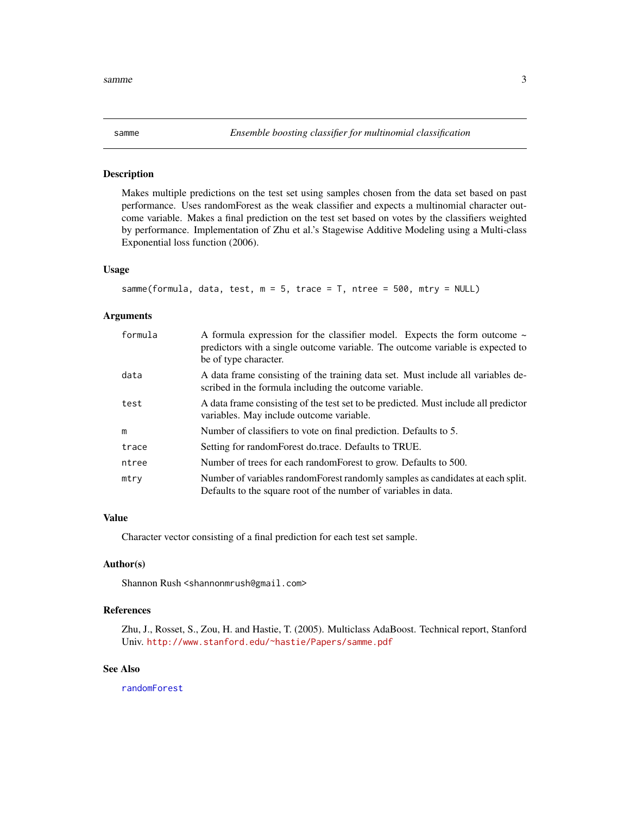<span id="page-2-0"></span>

#### Description

Makes multiple predictions on the test set using samples chosen from the data set based on past performance. Uses randomForest as the weak classifier and expects a multinomial character outcome variable. Makes a final prediction on the test set based on votes by the classifiers weighted by performance. Implementation of Zhu et al.'s Stagewise Additive Modeling using a Multi-class Exponential loss function (2006).

#### Usage

```
samme(formula, data, test, m = 5, trace = T, ntree = 500, mtry = NULL)
```
#### **Arguments**

| formula | A formula expression for the classifier model. Expects the form outcome $\sim$<br>predictors with a single outcome variable. The outcome variable is expected to<br>be of type character. |
|---------|-------------------------------------------------------------------------------------------------------------------------------------------------------------------------------------------|
| data    | A data frame consisting of the training data set. Must include all variables de-<br>scribed in the formula including the outcome variable.                                                |
| test    | A data frame consisting of the test set to be predicted. Must include all predictor<br>variables. May include outcome variable.                                                           |
| m       | Number of classifiers to vote on final prediction. Defaults to 5.                                                                                                                         |
| trace   | Setting for randomForest do.trace. Defaults to TRUE.                                                                                                                                      |
| ntree   | Number of trees for each random Forest to grow. Defaults to 500.                                                                                                                          |
| mtry    | Number of variables random Forest randomly samples as candidates at each split.<br>Defaults to the square root of the number of variables in data.                                        |

#### Value

Character vector consisting of a final prediction for each test set sample.

#### Author(s)

Shannon Rush <shannonmrush@gmail.com>

#### References

Zhu, J., Rosset, S., Zou, H. and Hastie, T. (2005). Multiclass AdaBoost. Technical report, Stanford Univ. <http://www.stanford.edu/~hastie/Papers/samme.pdf>

#### See Also

[randomForest](#page-0-0)